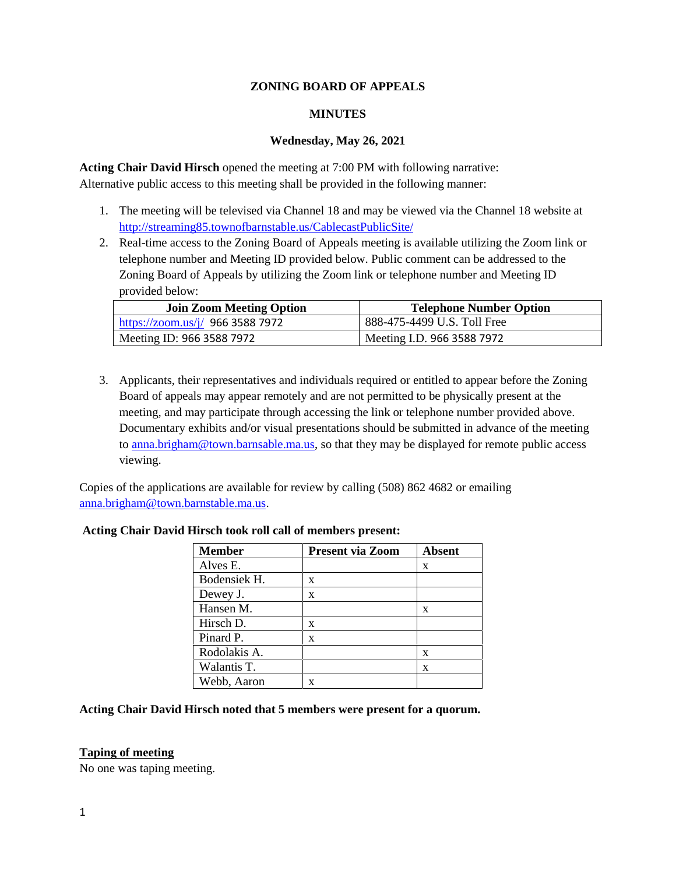### **ZONING BOARD OF APPEALS**

#### **MINUTES**

### **Wednesday, May 26, 2021**

**Acting Chair David Hirsch** opened the meeting at 7:00 PM with following narrative: Alternative public access to this meeting shall be provided in the following manner:

- 1. The meeting will be televised via Channel 18 and may be viewed via the Channel 18 website at http://streaming85.townofbarnstable.us/CablecastPublicSite/
- 2. Real-time access to the Zoning Board of Appeals meeting is available utilizing the Zoom link or telephone number and Meeting ID provided below. Public comment can be addressed to the Zoning Board of Appeals by utilizing the Zoom link or telephone number and Meeting ID provided below:

| <b>Join Zoom Meeting Option</b>  | <b>Telephone Number Option</b> |
|----------------------------------|--------------------------------|
| https://zoom.us/j/ 966 3588 7972 | 888-475-4499 U.S. Toll Free    |
| Meeting ID: 966 3588 7972        | Meeting I.D. 966 3588 7972     |

3. Applicants, their representatives and individuals required or entitled to appear before the Zoning Board of appeals may appear remotely and are not permitted to be physically present at the meeting, and may participate through accessing the link or telephone number provided above. Documentary exhibits and/or visual presentations should be submitted in advance of the meeting to anna.brigham@town.barnsable.ma.us, so that they may be displayed for remote public access viewing.

Copies of the applications are available for review by calling (508) 862 4682 or emailing anna.brigham@town.barnstable.ma.us.

| Member       | <b>Present via Zoom</b> | <b>Absent</b> |
|--------------|-------------------------|---------------|
| Alves E.     |                         | X             |
| Bodensiek H. | X                       |               |
| Dewey J.     | X                       |               |
| Hansen M.    |                         | X             |
| Hirsch D.    | X                       |               |
| Pinard P.    | X                       |               |
| Rodolakis A. |                         | X             |
| Walantis T.  |                         | X             |
| Webb, Aaron  | x                       |               |

### **Acting Chair David Hirsch took roll call of members present:**

## **Acting Chair David Hirsch noted that 5 members were present for a quorum.**

#### **Taping of meeting**

No one was taping meeting.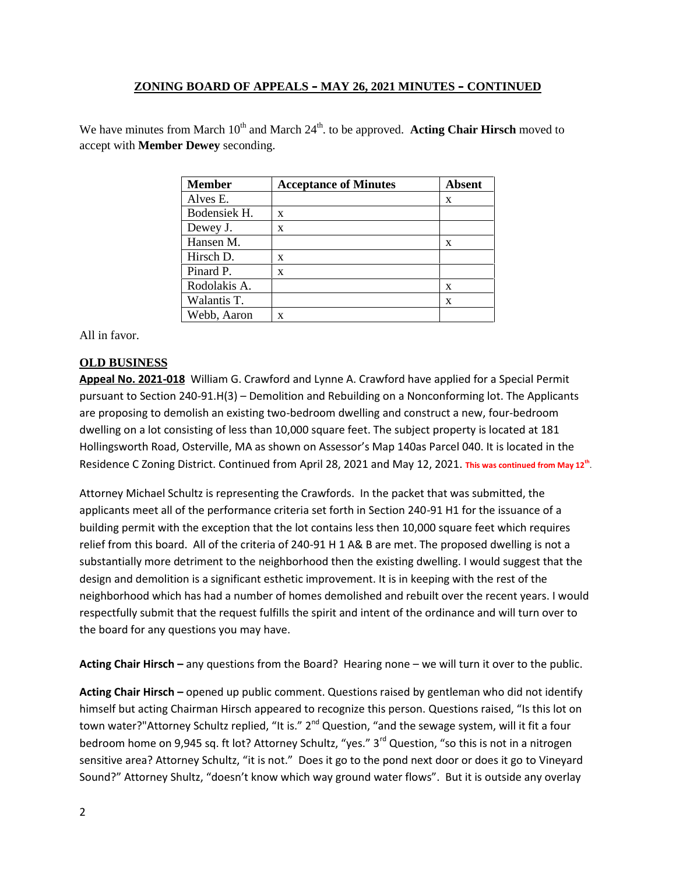We have minutes from March 10<sup>th</sup> and March 24<sup>th</sup>. to be approved. **Acting Chair Hirsch** moved to accept with **Member Dewey** seconding.

| <b>Member</b> | <b>Acceptance of Minutes</b> | Absent |
|---------------|------------------------------|--------|
| Alves E.      |                              | X      |
| Bodensiek H.  | X                            |        |
| Dewey J.      | X                            |        |
| Hansen M.     |                              | x      |
| Hirsch D.     | X                            |        |
| Pinard P.     | X                            |        |
| Rodolakis A.  |                              | x      |
| Walantis T.   |                              | x      |
| Webb, Aaron   | X                            |        |

All in favor.

## **OLD BUSINESS**

**Appeal No. 2021-018** William G. Crawford and Lynne A. Crawford have applied for a Special Permit pursuant to Section 240-91.H(3) – Demolition and Rebuilding on a Nonconforming lot. The Applicants are proposing to demolish an existing two-bedroom dwelling and construct a new, four-bedroom dwelling on a lot consisting of less than 10,000 square feet. The subject property is located at 181 Hollingsworth Road, Osterville, MA as shown on Assessor's Map 140as Parcel 040. It is located in the Residence C Zoning District. Continued from April 28, 2021 and May 12, 2021. **This was continued from May 12th** .

Attorney Michael Schultz is representing the Crawfords. In the packet that was submitted, the applicants meet all of the performance criteria set forth in Section 240-91 H1 for the issuance of a building permit with the exception that the lot contains less then 10,000 square feet which requires relief from this board. All of the criteria of 240-91 H 1 A& B are met. The proposed dwelling is not a substantially more detriment to the neighborhood then the existing dwelling. I would suggest that the design and demolition is a significant esthetic improvement. It is in keeping with the rest of the neighborhood which has had a number of homes demolished and rebuilt over the recent years. I would respectfully submit that the request fulfills the spirit and intent of the ordinance and will turn over to the board for any questions you may have.

**Acting Chair Hirsch –** any questions from the Board? Hearing none – we will turn it over to the public.

**Acting Chair Hirsch –** opened up public comment. Questions raised by gentleman who did not identify himself but acting Chairman Hirsch appeared to recognize this person. Questions raised, "Is this lot on town water?"Attorney Schultz replied, "It is." 2<sup>nd</sup> Question, "and the sewage system, will it fit a four bedroom home on 9,945 sq. ft lot? Attorney Schultz, "yes." 3<sup>rd</sup> Question, "so this is not in a nitrogen sensitive area? Attorney Schultz, "it is not." Does it go to the pond next door or does it go to Vineyard Sound?" Attorney Shultz, "doesn't know which way ground water flows". But it is outside any overlay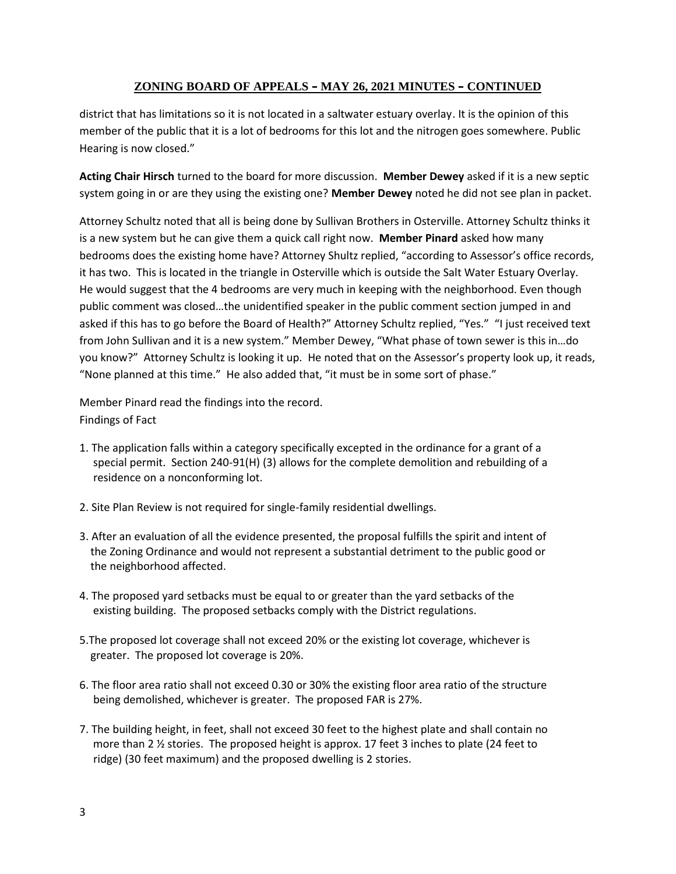district that has limitations so it is not located in a saltwater estuary overlay. It is the opinion of this member of the public that it is a lot of bedrooms for this lot and the nitrogen goes somewhere. Public Hearing is now closed."

**Acting Chair Hirsch** turned to the board for more discussion. **Member Dewey** asked if it is a new septic system going in or are they using the existing one? **Member Dewey** noted he did not see plan in packet.

Attorney Schultz noted that all is being done by Sullivan Brothers in Osterville. Attorney Schultz thinks it is a new system but he can give them a quick call right now. **Member Pinard** asked how many bedrooms does the existing home have? Attorney Shultz replied, "according to Assessor's office records, it has two. This is located in the triangle in Osterville which is outside the Salt Water Estuary Overlay. He would suggest that the 4 bedrooms are very much in keeping with the neighborhood. Even though public comment was closed…the unidentified speaker in the public comment section jumped in and asked if this has to go before the Board of Health?" Attorney Schultz replied, "Yes." "I just received text from John Sullivan and it is a new system." Member Dewey, "What phase of town sewer is this in…do you know?" Attorney Schultz is looking it up. He noted that on the Assessor's property look up, it reads, "None planned at this time." He also added that, "it must be in some sort of phase."

Member Pinard read the findings into the record. Findings of Fact

- 1. The application falls within a category specifically excepted in the ordinance for a grant of a special permit. Section 240-91(H) (3) allows for the complete demolition and rebuilding of a residence on a nonconforming lot.
- 2. Site Plan Review is not required for single-family residential dwellings.
- 3. After an evaluation of all the evidence presented, the proposal fulfills the spirit and intent of the Zoning Ordinance and would not represent a substantial detriment to the public good or the neighborhood affected.
- 4. The proposed yard setbacks must be equal to or greater than the yard setbacks of the existing building. The proposed setbacks comply with the District regulations.
- 5.The proposed lot coverage shall not exceed 20% or the existing lot coverage, whichever is greater. The proposed lot coverage is 20%.
- 6. The floor area ratio shall not exceed 0.30 or 30% the existing floor area ratio of the structure being demolished, whichever is greater. The proposed FAR is 27%.
- 7. The building height, in feet, shall not exceed 30 feet to the highest plate and shall contain no more than 2 ½ stories. The proposed height is approx. 17 feet 3 inches to plate (24 feet to ridge) (30 feet maximum) and the proposed dwelling is 2 stories.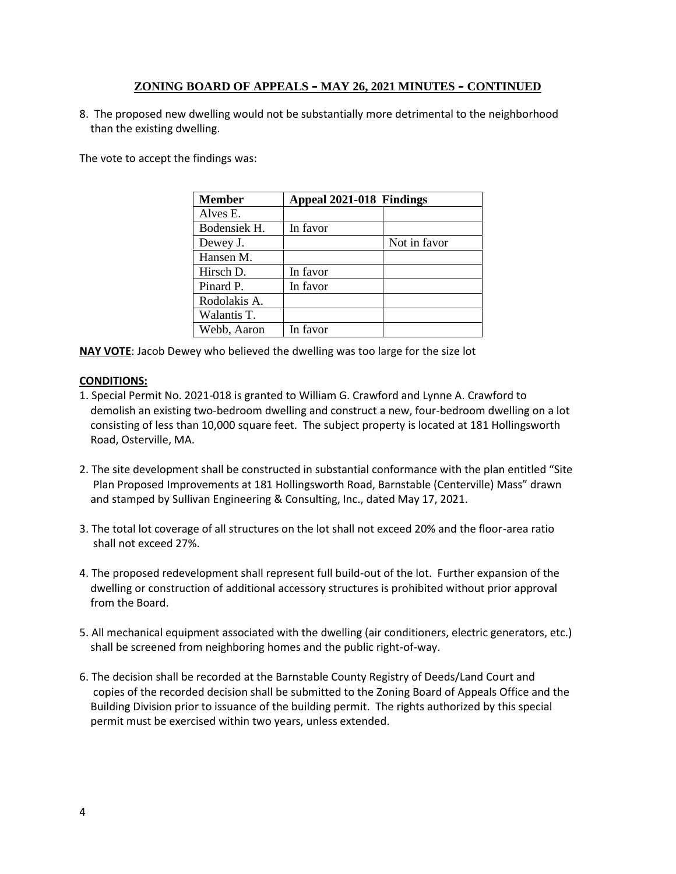8. The proposed new dwelling would not be substantially more detrimental to the neighborhood than the existing dwelling.

The vote to accept the findings was:

| <b>Member</b> | Appeal 2021-018 Findings |              |
|---------------|--------------------------|--------------|
| Alves E.      |                          |              |
| Bodensiek H.  | In favor                 |              |
| Dewey J.      |                          | Not in favor |
| Hansen M.     |                          |              |
| Hirsch D.     | In favor                 |              |
| Pinard P.     | In favor                 |              |
| Rodolakis A.  |                          |              |
| Walantis T.   |                          |              |
| Webb, Aaron   | In favor                 |              |

**NAY VOTE**: Jacob Dewey who believed the dwelling was too large for the size lot

### **CONDITIONS:**

- 1. Special Permit No. 2021-018 is granted to William G. Crawford and Lynne A. Crawford to demolish an existing two-bedroom dwelling and construct a new, four-bedroom dwelling on a lot consisting of less than 10,000 square feet. The subject property is located at 181 Hollingsworth Road, Osterville, MA.
- 2. The site development shall be constructed in substantial conformance with the plan entitled "Site Plan Proposed Improvements at 181 Hollingsworth Road, Barnstable (Centerville) Mass" drawn and stamped by Sullivan Engineering & Consulting, Inc., dated May 17, 2021.
- 3. The total lot coverage of all structures on the lot shall not exceed 20% and the floor-area ratio shall not exceed 27%.
- 4. The proposed redevelopment shall represent full build-out of the lot. Further expansion of the dwelling or construction of additional accessory structures is prohibited without prior approval from the Board.
- 5. All mechanical equipment associated with the dwelling (air conditioners, electric generators, etc.) shall be screened from neighboring homes and the public right-of-way.
- 6. The decision shall be recorded at the Barnstable County Registry of Deeds/Land Court and copies of the recorded decision shall be submitted to the Zoning Board of Appeals Office and the Building Division prior to issuance of the building permit. The rights authorized by this special permit must be exercised within two years, unless extended.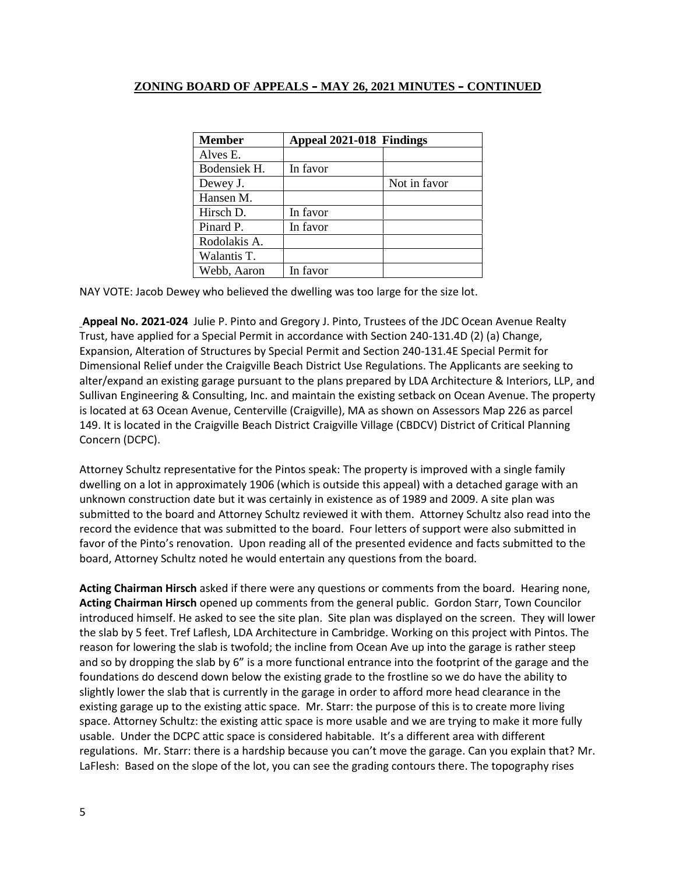| <b>Member</b> | Appeal 2021-018 Findings |              |
|---------------|--------------------------|--------------|
| Alves E.      |                          |              |
| Bodensiek H.  | In favor                 |              |
| Dewey J.      |                          | Not in favor |
| Hansen M.     |                          |              |
| Hirsch D.     | In favor                 |              |
| Pinard P.     | In favor                 |              |
| Rodolakis A.  |                          |              |
| Walantis T.   |                          |              |
| Webb, Aaron   | In favor                 |              |

NAY VOTE: Jacob Dewey who believed the dwelling was too large for the size lot.

**Appeal No. 2021-024** Julie P. Pinto and Gregory J. Pinto, Trustees of the JDC Ocean Avenue Realty Trust, have applied for a Special Permit in accordance with Section 240-131.4D (2) (a) Change, Expansion, Alteration of Structures by Special Permit and Section 240-131.4E Special Permit for Dimensional Relief under the Craigville Beach District Use Regulations. The Applicants are seeking to alter/expand an existing garage pursuant to the plans prepared by LDA Architecture & Interiors, LLP, and Sullivan Engineering & Consulting, Inc. and maintain the existing setback on Ocean Avenue. The property is located at 63 Ocean Avenue, Centerville (Craigville), MA as shown on Assessors Map 226 as parcel 149. It is located in the Craigville Beach District Craigville Village (CBDCV) District of Critical Planning Concern (DCPC).

Attorney Schultz representative for the Pintos speak: The property is improved with a single family dwelling on a lot in approximately 1906 (which is outside this appeal) with a detached garage with an unknown construction date but it was certainly in existence as of 1989 and 2009. A site plan was submitted to the board and Attorney Schultz reviewed it with them. Attorney Schultz also read into the record the evidence that was submitted to the board. Four letters of support were also submitted in favor of the Pinto's renovation. Upon reading all of the presented evidence and facts submitted to the board, Attorney Schultz noted he would entertain any questions from the board.

**Acting Chairman Hirsch** asked if there were any questions or comments from the board. Hearing none, **Acting Chairman Hirsch** opened up comments from the general public. Gordon Starr, Town Councilor introduced himself. He asked to see the site plan. Site plan was displayed on the screen. They will lower the slab by 5 feet. Tref Laflesh, LDA Architecture in Cambridge. Working on this project with Pintos. The reason for lowering the slab is twofold; the incline from Ocean Ave up into the garage is rather steep and so by dropping the slab by 6" is a more functional entrance into the footprint of the garage and the foundations do descend down below the existing grade to the frostline so we do have the ability to slightly lower the slab that is currently in the garage in order to afford more head clearance in the existing garage up to the existing attic space. Mr. Starr: the purpose of this is to create more living space. Attorney Schultz: the existing attic space is more usable and we are trying to make it more fully usable. Under the DCPC attic space is considered habitable. It's a different area with different regulations. Mr. Starr: there is a hardship because you can't move the garage. Can you explain that? Mr. LaFlesh: Based on the slope of the lot, you can see the grading contours there. The topography rises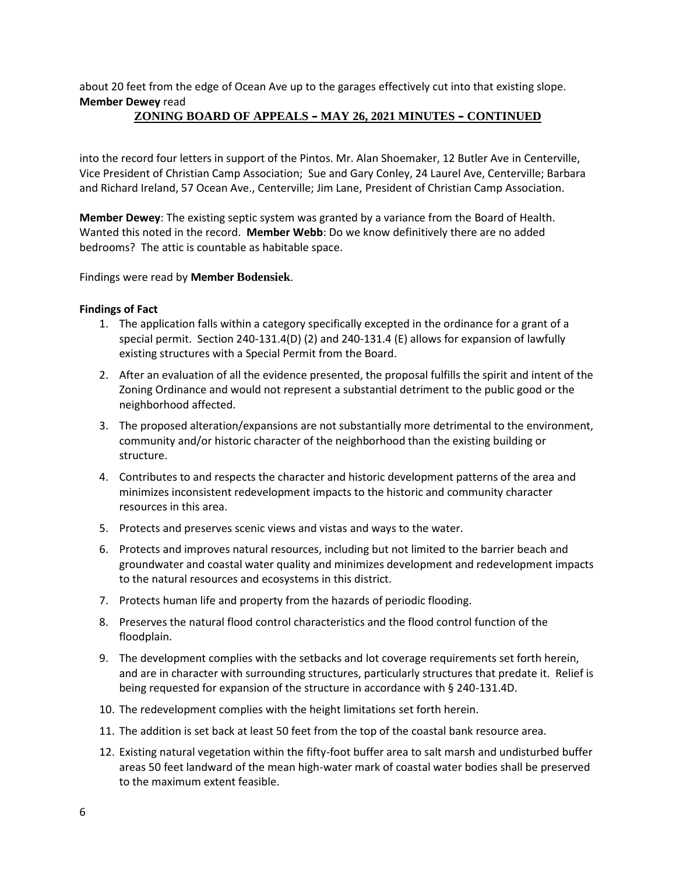about 20 feet from the edge of Ocean Ave up to the garages effectively cut into that existing slope. **Member Dewey** read

# **ZONING BOARD OF APPEALS – MAY 26, 2021 MINUTES – CONTINUED**

into the record four letters in support of the Pintos. Mr. Alan Shoemaker, 12 Butler Ave in Centerville, Vice President of Christian Camp Association; Sue and Gary Conley, 24 Laurel Ave, Centerville; Barbara and Richard Ireland, 57 Ocean Ave., Centerville; Jim Lane, President of Christian Camp Association.

**Member Dewey**: The existing septic system was granted by a variance from the Board of Health. Wanted this noted in the record. **Member Webb**: Do we know definitively there are no added bedrooms? The attic is countable as habitable space.

Findings were read by **Member Bodensiek**.

#### **Findings of Fact**

- 1. The application falls within a category specifically excepted in the ordinance for a grant of a special permit. Section 240-131.4(D) (2) and 240-131.4 (E) allows for expansion of lawfully existing structures with a Special Permit from the Board.
- 2. After an evaluation of all the evidence presented, the proposal fulfills the spirit and intent of the Zoning Ordinance and would not represent a substantial detriment to the public good or the neighborhood affected.
- 3. The proposed alteration/expansions are not substantially more detrimental to the environment, community and/or historic character of the neighborhood than the existing building or structure.
- 4. Contributes to and respects the character and historic development patterns of the area and minimizes inconsistent redevelopment impacts to the historic and community character resources in this area.
- 5. Protects and preserves scenic views and vistas and ways to the water.
- 6. Protects and improves natural resources, including but not limited to the barrier beach and groundwater and coastal water quality and minimizes development and redevelopment impacts to the natural resources and ecosystems in this district.
- 7. Protects human life and property from the hazards of periodic flooding.
- 8. Preserves the natural flood control characteristics and the flood control function of the floodplain.
- 9. The development complies with the setbacks and lot coverage requirements set forth herein, and are in character with surrounding structures, particularly structures that predate it. Relief is being requested for expansion of the structure in accordance with § 240-131.4D.
- 10. The redevelopment complies with the height limitations set forth herein.
- 11. The addition is set back at least 50 feet from the top of the coastal bank resource area.
- 12. Existing natural vegetation within the fifty-foot buffer area to salt marsh and undisturbed buffer areas 50 feet landward of the mean high-water mark of coastal water bodies shall be preserved to the maximum extent feasible.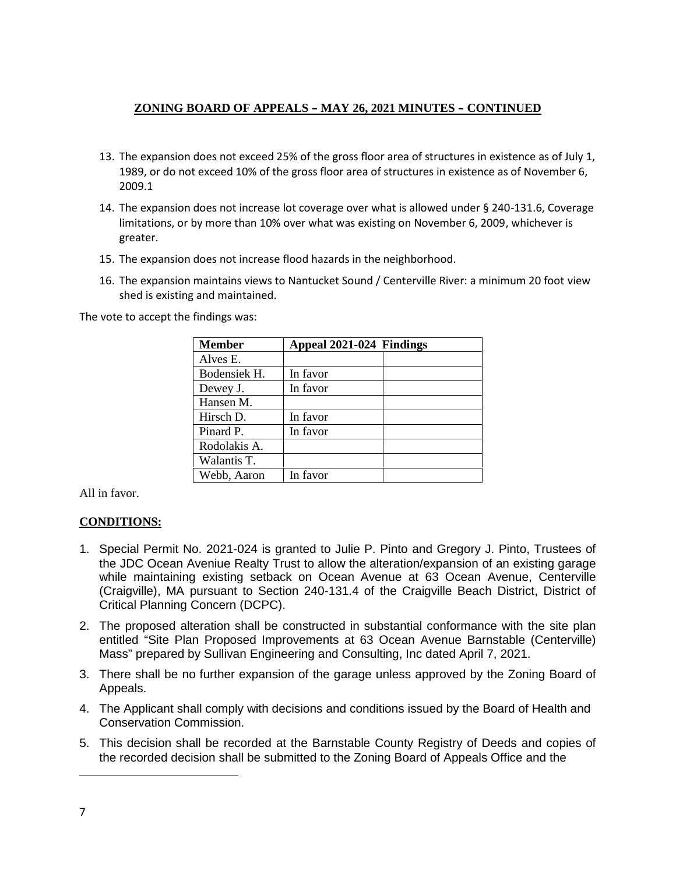- 13. The expansion does not exceed 25% of the gross floor area of structures in existence as of July 1, 1989, or do not exceed 10% of the gross floor area of structures in existence as of November 6, 2009.1
- 14. The expansion does not increase lot coverage over what is allowed under § 240-131.6, Coverage limitations, or by more than 10% over what was existing on November 6, 2009, whichever is greater.
- 15. The expansion does not increase flood hazards in the neighborhood.
- 16. The expansion maintains views to Nantucket Sound / Centerville River: a minimum 20 foot view shed is existing and maintained.

The vote to accept the findings was:

| Member       | Appeal 2021-024 Findings |  |
|--------------|--------------------------|--|
| Alves E.     |                          |  |
| Bodensiek H. | In favor                 |  |
| Dewey J.     | In favor                 |  |
| Hansen M.    |                          |  |
| Hirsch D.    | In favor                 |  |
| Pinard P.    | In favor                 |  |
| Rodolakis A. |                          |  |
| Walantis T.  |                          |  |
| Webb, Aaron  | In favor                 |  |

All in favor.

# **CONDITIONS:**

- 1. Special Permit No. 2021-024 is granted to Julie P. Pinto and Gregory J. Pinto, Trustees of the JDC Ocean Aveniue Realty Trust to allow the alteration/expansion of an existing garage while maintaining existing setback on Ocean Avenue at 63 Ocean Avenue, Centerville (Craigville), MA pursuant to Section 240-131.4 of the Craigville Beach District, District of Critical Planning Concern (DCPC).
- 2. The proposed alteration shall be constructed in substantial conformance with the site plan entitled "Site Plan Proposed Improvements at 63 Ocean Avenue Barnstable (Centerville) Mass" prepared by Sullivan Engineering and Consulting, Inc dated April 7, 2021.
- 3. There shall be no further expansion of the garage unless approved by the Zoning Board of Appeals.
- 4. The Applicant shall comply with decisions and conditions issued by the Board of Health and Conservation Commission.
- 5. This decision shall be recorded at the Barnstable County Registry of Deeds and copies of the recorded decision shall be submitted to the Zoning Board of Appeals Office and the